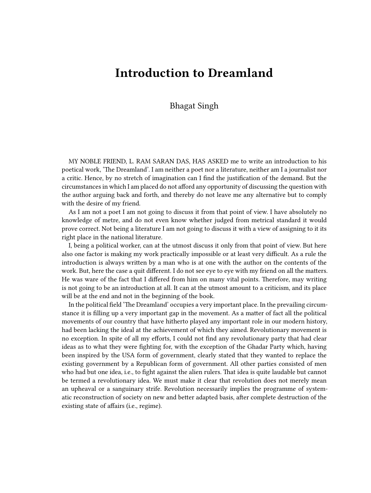## **Introduction to Dreamland**

Bhagat Singh

MY NOBLE FRIEND, L. RAM SARAN DAS, HAS ASKED me to write an introduction to his poetical work, 'The Dreamland'. I am neither a poet nor a literature, neither am I a journalist nor a critic. Hence, by no stretch of imagination can I find the justification of the demand. But the circumstances in which I am placed do not afford any opportunity of discussing the question with the author arguing back and forth, and thereby do not leave me any alternative but to comply with the desire of my friend.

As I am not a poet I am not going to discuss it from that point of view. I have absolutely no knowledge of metre, and do not even know whether judged from metrical standard it would prove correct. Not being a literature I am not going to discuss it with a view of assigning to it its right place in the national literature.

I, being a political worker, can at the utmost discuss it only from that point of view. But here also one factor is making my work practically impossible or at least very difficult. As a rule the introduction is always written by a man who is at one with the author on the contents of the work. But, here the case a quit different. I do not see eye to eye with my friend on all the matters. He was ware of the fact that I differed from him on many vital points. Therefore, may writing is not going to be an introduction at all. It can at the utmost amount to a criticism, and its place will be at the end and not in the beginning of the book.

In the political field 'The Dreamland' occupies a very important place. In the prevailing circumstance it is filling up a very important gap in the movement. As a matter of fact all the political movements of our country that have hitherto played any important role in our modern history, had been lacking the ideal at the achievement of which they aimed. Revolutionary movement is no exception. In spite of all my efforts, I could not find any revolutionary party that had clear ideas as to what they were fighting for, with the exception of the Ghadar Party which, having been inspired by the USA form of government, clearly stated that they wanted to replace the existing government by a Republican form of government. All other parties consisted of men who had but one idea, i.e., to fight against the alien rulers. That idea is quite laudable but cannot be termed a revolutionary idea. We must make it clear that revolution does not merely mean an upheaval or a sanguinary strife. Revolution necessarily implies the programme of systematic reconstruction of society on new and better adapted basis, after complete destruction of the existing state of affairs (i.e., regime).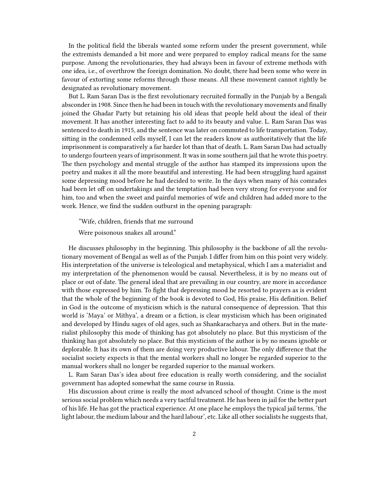In the political field the liberals wanted some reform under the present government, while the extremists demanded a bit more and were prepared to employ radical means for the same purpose. Among the revolutionaries, they had always been in favour of extreme methods with one idea, i.e., of overthrow the foreign domination. No doubt, there had been some who were in favour of extorting some reforms through those means. All these movement cannot rightly be designated as revolutionary movement.

But L. Ram Saran Das is the first revolutionary recruited formally in the Punjab by a Bengali absconder in 1908. Since then he had been in touch with the revolutionary movements and finally joined the Ghadar Party but retaining his old ideas that people held about the ideal of their movement. It has another interesting fact to add to its beauty and value. L. Ram Saran Das was sentenced to death in 1915, and the sentence was later on commuted to life transportation. Today, sitting in the condemned cells myself, I can let the readers know as authoritatively that the life imprisonment is comparatively a far harder lot than that of death. L. Ram Saran Das had actually to undergo fourteen years of imprisonment. It was in some southern jail that he wrote this poetry. The then psychology and mental struggle of the author has stamped its impressions upon the poetry and makes it all the more beautiful and interesting. He had been struggling hard against some depressing mood before he had decided to write. In the days when many of his comrades had been let off on undertakings and the temptation had been very strong for everyone and for him, too and when the sweet and painful memories of wife and children had added more to the work. Hence, we find the sudden outburst in the opening paragraph:

"Wife, children, friends that me surround

Were poisonous snakes all around."

He discusses philosophy in the beginning. This philosophy is the backbone of all the revolutionary movement of Bengal as well as of the Punjab. I differ from him on this point very widely. His interpretation of the universe is teleological and metaphysical, which I am a materialist and my interpretation of the phenomenon would be causal. Nevertheless, it is by no means out of place or out of date. The general ideal that are prevailing in our country, are more in accordance with those expressed by him. To fight that depressing mood he resorted to prayers as is evident that the whole of the beginning of the book is devoted to God, His praise, His definition. Belief in God is the outcome of mysticism which is the natural consequence of depression. That this world is 'Maya' or Mithya', a dream or a fiction, is clear mysticism which has been originated and developed by Hindu sages of old ages, such as Shankaracharya and others. But in the materialist philosophy this mode of thinking has got absolutely no place. But this mysticism of the thinking has got absolutely no place. But this mysticism of the author is by no means ignoble or deplorable. It has its own of them are doing very productive labour. The only difference that the socialist society expects is that the mental workers shall no longer be regarded superior to the manual workers shall no longer be regarded superior to the manual workers.

L. Ram Saran Das's idea about free education is really worth considering, and the socialist government has adopted somewhat the same course in Russia.

His discussion about crime is really the most advanced school of thought. Crime is the most serious social problem which needs a very tactful treatment. He has been in jail for the better part of his life. He has got the practical experience. At one place he employs the typical jail terms, 'the light labour, the medium labour and the hard labour', etc. Like all other socialists he suggests that,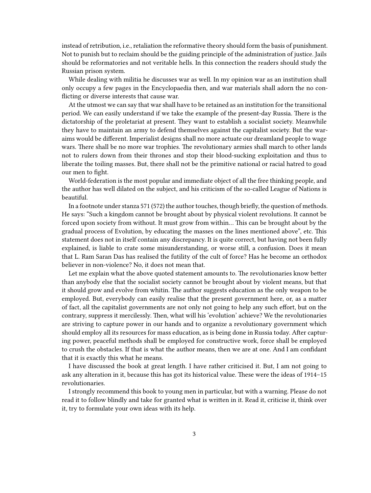instead of retribution, i.e., retaliation the reformative theory should form the basis of punishment. Not to punish but to reclaim should be the guiding principle of the administration of justice. Jails should be reformatories and not veritable hells. In this connection the readers should study the Russian prison system.

While dealing with militia he discusses war as well. In my opinion war as an institution shall only occupy a few pages in the Encyclopaedia then, and war materials shall adorn the no conflicting or diverse interests that cause war.

At the utmost we can say that war shall have to be retained as an institution for the transitional period. We can easily understand if we take the example of the present-day Russia. There is the dictatorship of the proletariat at present. They want to establish a socialist society. Meanwhile they have to maintain an army to defend themselves against the capitalist society. But the waraims would be different. Imperialist designs shall no more actuate our dreamland people to wage wars. There shall be no more war trophies. The revolutionary armies shall march to other lands not to rulers down from their thrones and stop their blood-sucking exploitation and thus to liberate the toiling masses. But, there shall not be the primitive national or racial hatred to goad our men to fight.

World-federation is the most popular and immediate object of all the free thinking people, and the author has well dilated on the subject, and his criticism of the so-called League of Nations is beautiful.

In a footnote under stanza 571 (572) the author touches, though briefly, the question of methods. He says: "Such a kingdom cannot be brought about by physical violent revolutions. It cannot be forced upon society from without. It must grow from within… This can be brought about by the gradual process of Evolution, by educating the masses on the lines mentioned above", etc. This statement does not in itself contain any discrepancy. It is quite correct, but having not been fully explained, is liable to crate some misunderstanding, or worse still, a confusion. Does it mean that L. Ram Saran Das has realised the futility of the cult of force? Has he become an orthodox believer in non-violence? No, it does not mean that.

Let me explain what the above quoted statement amounts to. The revolutionaries know better than anybody else that the socialist society cannot be brought about by violent means, but that it should grow and evolve from whitin. The author suggests education as the only weapon to be employed. But, everybody can easily realise that the present government here, or, as a matter of fact, all the capitalist governments are not only not going to help any such effort, but on the contrary, suppress it mercilessly. Then, what will his 'evolution' achieve? We the revolutionaries are striving to capture power in our hands and to organize a revolutionary government which should employ all its resources for mass education, as is being done in Russia today. After capturing power, peaceful methods shall be employed for constructive work, force shall be employed to crush the obstacles. If that is what the author means, then we are at one. And I am confidant that it is exactly this what he means.

I have discussed the book at great length. I have rather criticised it. But, I am not going to ask any alteration in it, because this has got its historical value. These were the ideas of 1914–15 revolutionaries.

I strongly recommend this book to young men in particular, but with a warning. Please do not read it to follow blindly and take for granted what is written in it. Read it, criticise it, think over it, try to formulate your own ideas with its help.